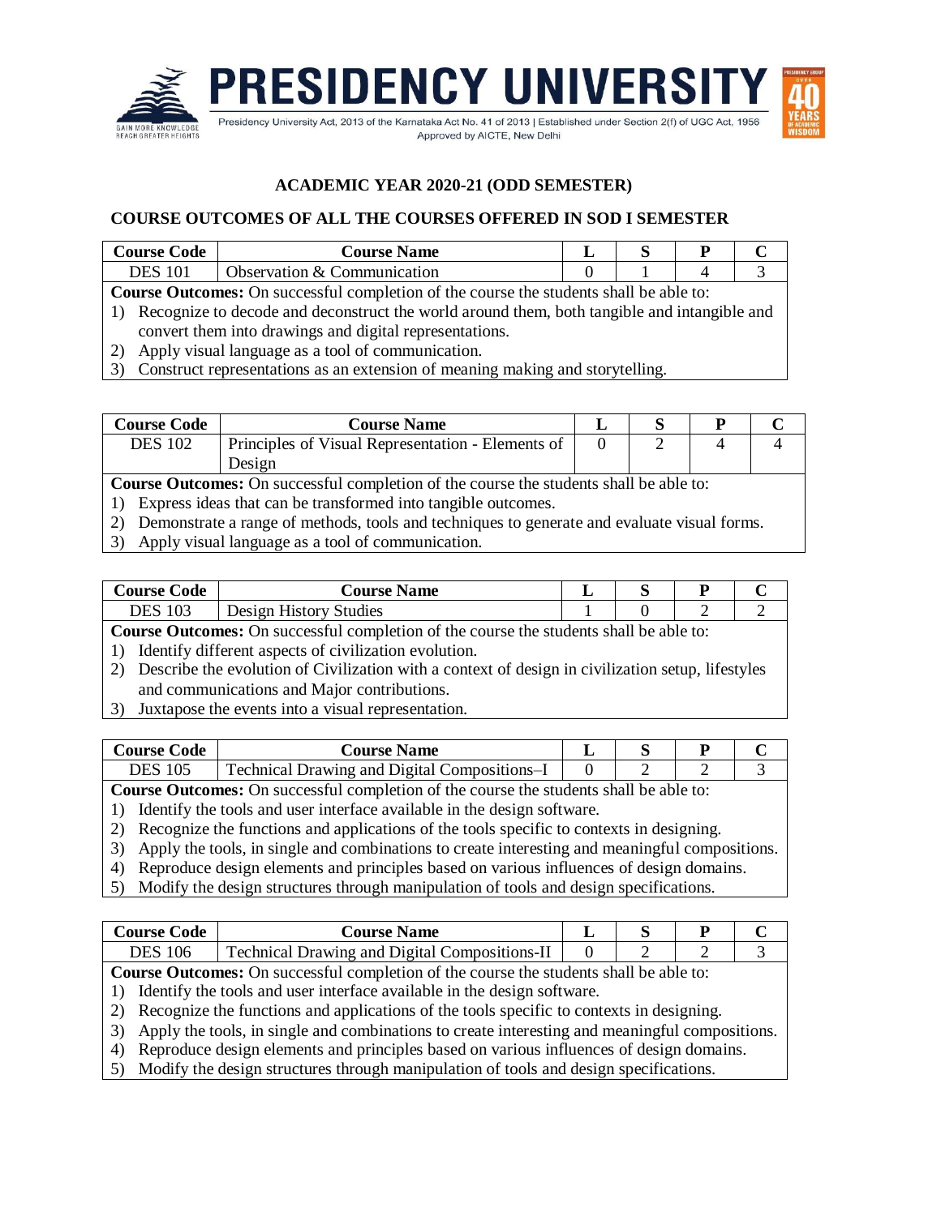

## **ACADEMIC YEAR 2020-21 (ODD SEMESTER)**

## **COURSE OUTCOMES OF ALL THE COURSES OFFERED IN SOD I SEMESTER**

| <b>Course Code</b>                                                                            | <b>Course Name</b>          |  |  |  |  |  |  |
|-----------------------------------------------------------------------------------------------|-----------------------------|--|--|--|--|--|--|
| <b>DES</b> 101                                                                                | Observation & Communication |  |  |  |  |  |  |
| <b>Course Outcomes:</b> On successful completion of the course the students shall be able to: |                             |  |  |  |  |  |  |

1) Recognize to decode and deconstruct the world around them, both tangible and intangible and convert them into drawings and digital representations.

2) Apply visual language as a tool of communication.

3) Construct representations as an extension of meaning making and storytelling.

| <b>Course Code</b> | <b>Course Name</b>                                |  |  |
|--------------------|---------------------------------------------------|--|--|
| DES 102            | Principles of Visual Representation - Elements of |  |  |
|                    | Design                                            |  |  |

**Course Outcomes:** On successful completion of the course the students shall be able to:

- 1) Express ideas that can be transformed into tangible outcomes.
- 2) Demonstrate a range of methods, tools and techniques to generate and evaluate visual forms.
- 3) Apply visual language as a tool of communication.

| <b>Course Code</b>                                                                            | <b>Course Name</b>     |  |  |  |  |  |
|-----------------------------------------------------------------------------------------------|------------------------|--|--|--|--|--|
| DES 103                                                                                       | Design History Studies |  |  |  |  |  |
| <b>Course Outcomes:</b> On successful completion of the course the students shall be able to: |                        |  |  |  |  |  |

**S:** On successful completion of the course the students shall be able to:

1) Identify different aspects of civilization evolution.

2) Describe the evolution of Civilization with a context of design in civilization setup, lifestyles and communications and Major contributions.

3) Juxtapose the events into a visual representation.

| <b>Course Code</b> | <b>Course Name</b>                           |  |  |
|--------------------|----------------------------------------------|--|--|
| DES                | Technical Drawing and Digital Compositions–I |  |  |

**Course Outcomes:** On successful completion of the course the students shall be able to:

1) Identify the tools and user interface available in the design software.

- 2) Recognize the functions and applications of the tools specific to contexts in designing.
- 3) Apply the tools, in single and combinations to create interesting and meaningful compositions.
- 4) Reproduce design elements and principles based on various influences of design domains.
- 5) Modify the design structures through manipulation of tools and design specifications.

| <b>Course Code</b>                                                                                | <b>Course Name</b>                                                                          |  |  | P |   |  |
|---------------------------------------------------------------------------------------------------|---------------------------------------------------------------------------------------------|--|--|---|---|--|
| <b>DES</b> 106                                                                                    | <b>Technical Drawing and Digital Compositions-II</b>                                        |  |  |   | 2 |  |
|                                                                                                   | Course Outcomes: On successful completion of the course the students shall be able to:      |  |  |   |   |  |
|                                                                                                   | 1) Identify the tools and user interface available in the design software.                  |  |  |   |   |  |
|                                                                                                   | 2) Recognize the functions and applications of the tools specific to contexts in designing. |  |  |   |   |  |
| 3) Apply the tools, in single and combinations to create interesting and meaningful compositions. |                                                                                             |  |  |   |   |  |
|                                                                                                   | 4) Reproduce design elements and principles based on various influences of design domains.  |  |  |   |   |  |

5) Modify the design structures through manipulation of tools and design specifications.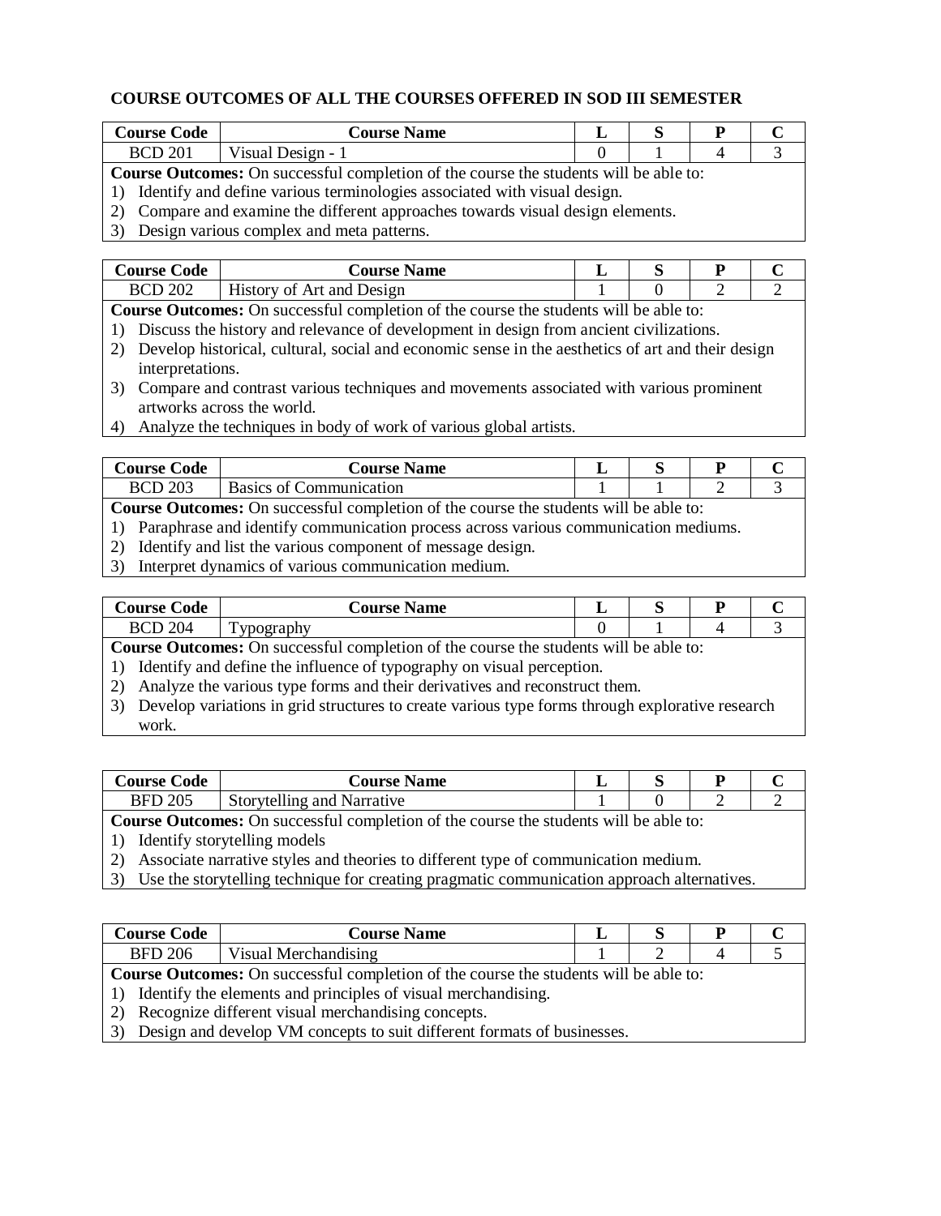## **COURSE OUTCOMES OF ALL THE COURSES OFFERED IN SOD III SEMESTER**

| <b>Course Code</b>                                                                           | <b>Course Name</b>                                                          |  |  |  |  |  |
|----------------------------------------------------------------------------------------------|-----------------------------------------------------------------------------|--|--|--|--|--|
| <b>BCD 201</b>                                                                               | Visual Design - 1                                                           |  |  |  |  |  |
| <b>Course Outcomes:</b> On successful completion of the course the students will be able to: |                                                                             |  |  |  |  |  |
|                                                                                              | 1) Identify and define various terminologies associated with visual design. |  |  |  |  |  |
| 2) Compare and examine the different approaches towards visual design elements.              |                                                                             |  |  |  |  |  |

3) Design various complex and meta patterns.

| Course Code | <b>Course Name</b>                      |  |  |
|-------------|-----------------------------------------|--|--|
| 202<br>BCD  | $- - -$<br>Art and Design<br>History of |  |  |

**Course Outcomes:** On successful completion of the course the students will be able to:

- 1) Discuss the history and relevance of development in design from ancient civilizations.
- 2) Develop historical, cultural, social and economic sense in the aesthetics of art and their design interpretations.
- 3) Compare and contrast various techniques and movements associated with various prominent artworks across the world.
- 4) Analyze the techniques in body of work of various global artists.

| €ode<br>course C | <b>Course Name</b>             |  |  |
|------------------|--------------------------------|--|--|
| <b>BCD 203</b>   | <b>Basics of Communication</b> |  |  |

**Course Outcomes:** On successful completion of the course the students will be able to:

1) Paraphrase and identify communication process across various communication mediums.

- 2) Identify and list the various component of message design.
- 3) Interpret dynamics of various communication medium.

| <b>Course Code</b>                                                                                                | <b>Course Name</b>                                                                           |  |  | Р |  |  |  |  |
|-------------------------------------------------------------------------------------------------------------------|----------------------------------------------------------------------------------------------|--|--|---|--|--|--|--|
| <b>BCD 204</b>                                                                                                    | Typography                                                                                   |  |  | 4 |  |  |  |  |
|                                                                                                                   | <b>Course Outcomes:</b> On successful completion of the course the students will be able to: |  |  |   |  |  |  |  |
|                                                                                                                   | 1) Identify and define the influence of typography on visual perception.                     |  |  |   |  |  |  |  |
|                                                                                                                   | 2) Analyze the various type forms and their derivatives and reconstruct them.                |  |  |   |  |  |  |  |
| Develop variations in grid structures to create various type forms through explorative research<br>3 <sup>)</sup> |                                                                                              |  |  |   |  |  |  |  |
| work.                                                                                                             |                                                                                              |  |  |   |  |  |  |  |

| course (<br>ode | <b>Course Name</b>                    |  |   |  |
|-----------------|---------------------------------------|--|---|--|
| 205<br>BFD      | .<br>Narrative<br>and<br>Storytelling |  | - |  |

**Course Outcomes:** On successful completion of the course the students will be able to:

1) Identify storytelling models

2) Associate narrative styles and theories to different type of communication medium.

3) Use the storytelling technique for creating pragmatic communication approach alternatives.

| <b>Course Code</b>                                                            | <b>Course Name</b>                                                                           |  |  |  |  |  |  |
|-------------------------------------------------------------------------------|----------------------------------------------------------------------------------------------|--|--|--|--|--|--|
| <b>BFD 206</b>                                                                | Visual Merchandising                                                                         |  |  |  |  |  |  |
|                                                                               | <b>Course Outcomes:</b> On successful completion of the course the students will be able to: |  |  |  |  |  |  |
|                                                                               | 1) Identify the elements and principles of visual merchandising.                             |  |  |  |  |  |  |
| <sup>2)</sup>                                                                 | Recognize different visual merchandising concepts.                                           |  |  |  |  |  |  |
| Design and develop VM concepts to suit different formats of businesses.<br>3) |                                                                                              |  |  |  |  |  |  |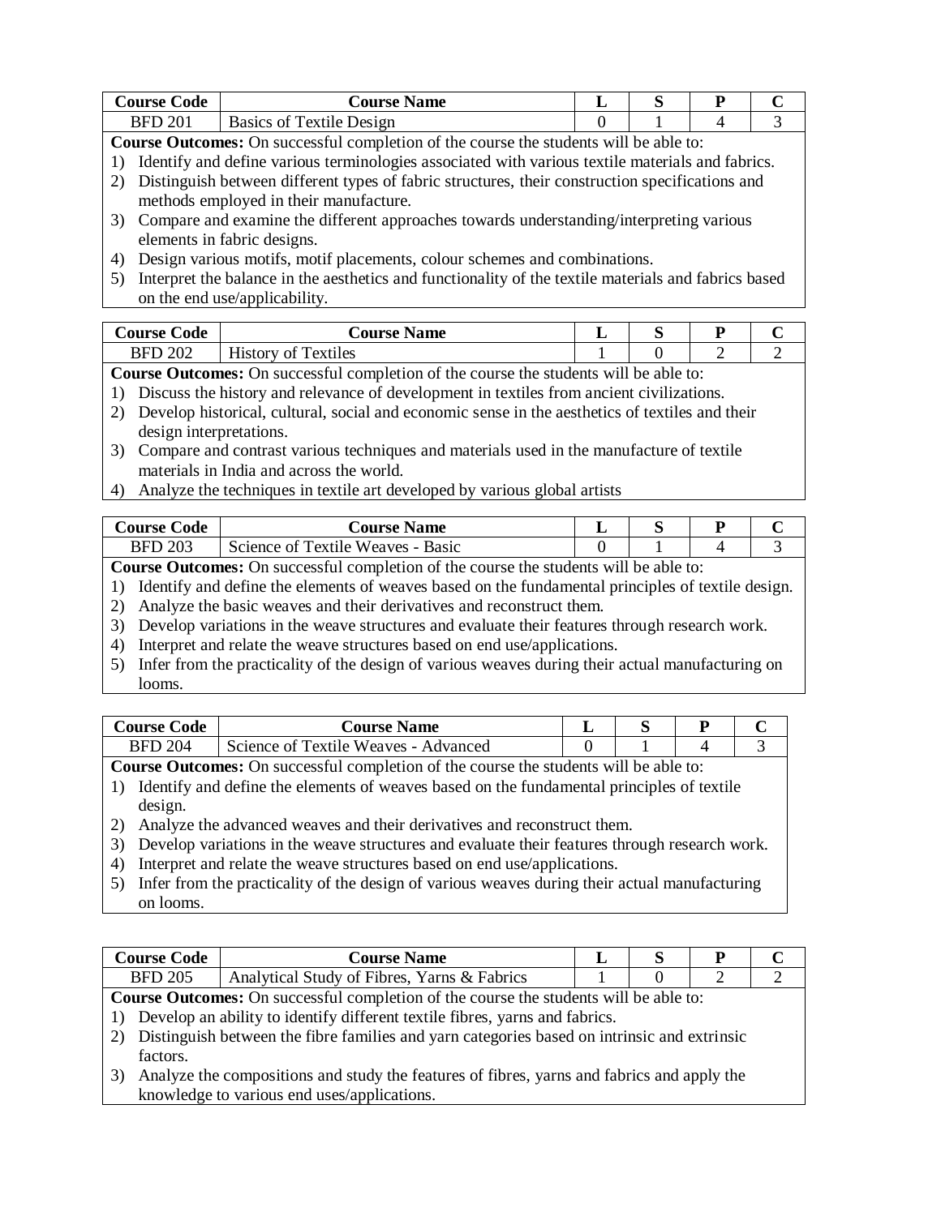| <b>Course Code</b> | <b>Course Name</b>                                                                                   |        | S | P |  |  |  |
|--------------------|------------------------------------------------------------------------------------------------------|--------|---|---|--|--|--|
| <b>BFD 201</b>     | Basics of Textile Design                                                                             | 0<br>4 |   |   |  |  |  |
|                    | <b>Course Outcomes:</b> On successful completion of the course the students will be able to:         |        |   |   |  |  |  |
|                    | Identify and define various terminologies associated with various textile materials and fabrics.     |        |   |   |  |  |  |
|                    | Distinguish between different types of fabric structures, their construction specifications and      |        |   |   |  |  |  |
|                    | methods employed in their manufacture.                                                               |        |   |   |  |  |  |
| 3)                 | Compare and examine the different approaches towards understanding/interpreting various              |        |   |   |  |  |  |
|                    | elements in fabric designs.                                                                          |        |   |   |  |  |  |
| 4                  | Design various motifs, motif placements, colour schemes and combinations.                            |        |   |   |  |  |  |
| 5)                 | Interpret the balance in the aesthetics and functionality of the textile materials and fabrics based |        |   |   |  |  |  |
|                    | on the end use/applicability.                                                                        |        |   |   |  |  |  |

| Course Code    | <b>Course Name</b>                     | . . | ຼ |   |  |
|----------------|----------------------------------------|-----|---|---|--|
| <b>BFD 202</b> | $\mathbf{v}$<br>Textiles<br>History of |     |   | - |  |

- 1) Discuss the history and relevance of development in textiles from ancient civilizations.
- 2) Develop historical, cultural, social and economic sense in the aesthetics of textiles and their design interpretations.
- 3) Compare and contrast various techniques and materials used in the manufacture of textile materials in India and across the world.
- 4) Analyze the techniques in textile art developed by various global artists

| . ode<br>course (               | <b>Course Name</b>                   |  |  |
|---------------------------------|--------------------------------------|--|--|
| <b>203</b><br><b>DED</b><br>DT. | Textile Weaves - Basic<br>Science of |  |  |

**Course Outcomes:** On successful completion of the course the students will be able to:

1) Identify and define the elements of weaves based on the fundamental principles of textile design.

2) Analyze the basic weaves and their derivatives and reconstruct them.

- 3) Develop variations in the weave structures and evaluate their features through research work.
- 4) Interpret and relate the weave structures based on end use/applications.
- 5) Infer from the practicality of the design of various weaves during their actual manufacturing on looms.

| Course Code       | <b>Course Name</b>                   |  |  |
|-------------------|--------------------------------------|--|--|
| 204<br><b>BFD</b> | Science of Textile Weaves - Advanced |  |  |

**Course Outcomes:** On successful completion of the course the students will be able to:

- 1) Identify and define the elements of weaves based on the fundamental principles of textile design.
- 2) Analyze the advanced weaves and their derivatives and reconstruct them.
- 3) Develop variations in the weave structures and evaluate their features through research work.
- 4) Interpret and relate the weave structures based on end use/applications.
- 5) Infer from the practicality of the design of various weaves during their actual manufacturing on looms.

| <b>Course Code</b>                                                                           | <b>Course Name</b>                                                                          |  |  | P |   |  |
|----------------------------------------------------------------------------------------------|---------------------------------------------------------------------------------------------|--|--|---|---|--|
| <b>BFD 205</b>                                                                               | Analytical Study of Fibres, Yarns & Fabrics                                                 |  |  | 2 | ∍ |  |
| <b>Course Outcomes:</b> On successful completion of the course the students will be able to: |                                                                                             |  |  |   |   |  |
|                                                                                              | 1) Develop an ability to identify different textile fibres, yarns and fabrics.              |  |  |   |   |  |
| 2)                                                                                           | Distinguish between the fibre families and yarn categories based on intrinsic and extrinsic |  |  |   |   |  |
| factors.                                                                                     |                                                                                             |  |  |   |   |  |
| 3)                                                                                           | Analyze the compositions and study the features of fibres, yarns and fabrics and apply the  |  |  |   |   |  |
|                                                                                              | knowledge to various end uses/applications.                                                 |  |  |   |   |  |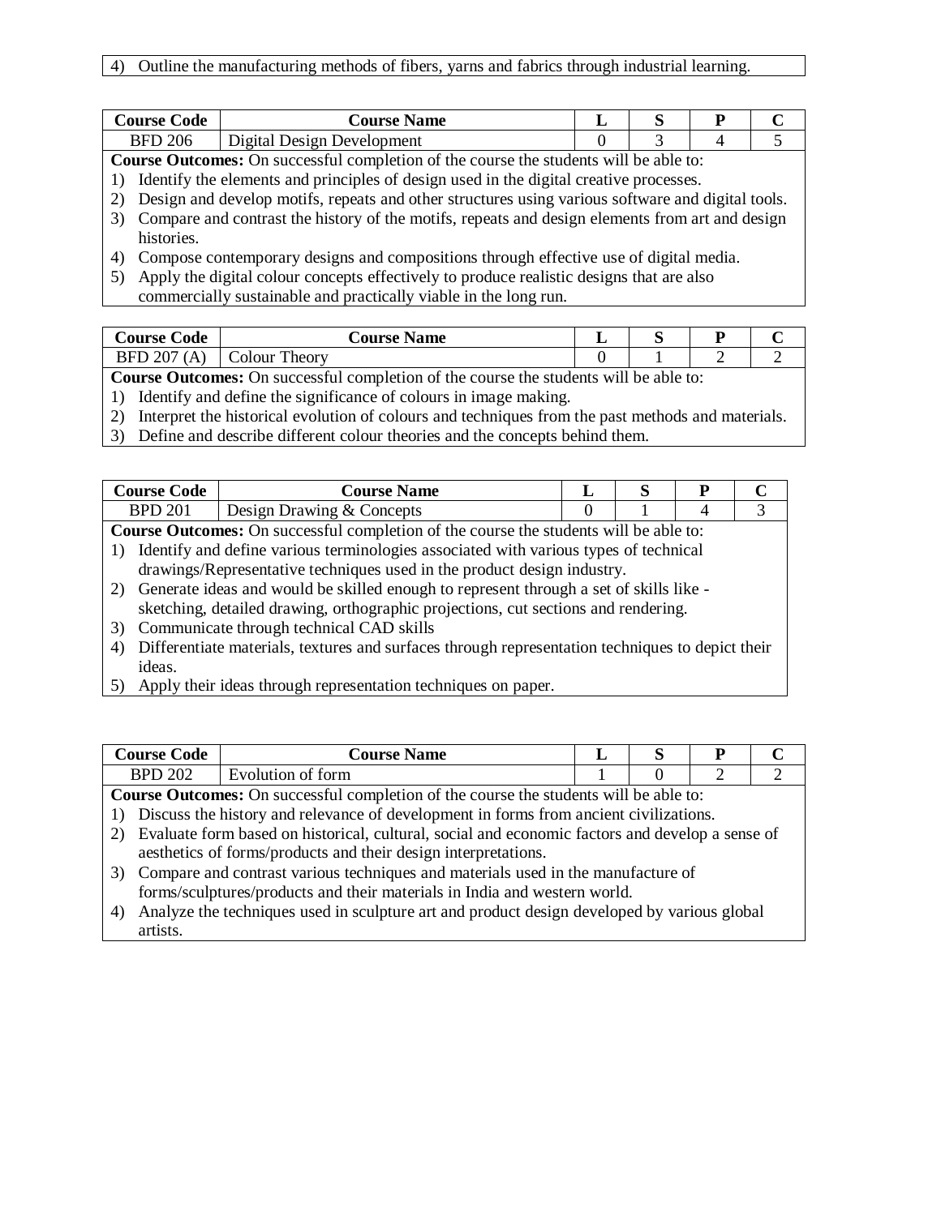| <b>Course Code</b> | <b>Course Name</b>         | $\sim$ | D |  |
|--------------------|----------------------------|--------|---|--|
| 206<br>BFD         | Digital Design Development |        |   |  |

1) Identify the elements and principles of design used in the digital creative processes.

- 2) Design and develop motifs, repeats and other structures using various software and digital tools.
- 3) Compare and contrast the history of the motifs, repeats and design elements from art and design histories.
- 4) Compose contemporary designs and compositions through effective use of digital media.
- 5) Apply the digital colour concepts effectively to produce realistic designs that are also commercially sustainable and practically viable in the long run.

| Course<br>ode      | <b>Course</b><br><b>Name</b> |  |   |  |
|--------------------|------------------------------|--|---|--|
| /207<br><b>BFD</b> | Theory<br>Colour             |  | ∼ |  |
|                    |                              |  |   |  |

**Course Outcomes:** On successful completion of the course the students will be able to:

1) Identify and define the significance of colours in image making.

2) Interpret the historical evolution of colours and techniques from the past methods and materials.

3) Define and describe different colour theories and the concepts behind them.

| Course C<br>∠ode | <b>Course Name</b>                       |          |  |
|------------------|------------------------------------------|----------|--|
| <u>רת חסם</u>    | n Drawing & Concepts<br>Des1gn           |          |  |
| -<br>$\sim$      | $\sim$ $\sim$<br>$\sim$ $\sim$<br>$\sim$ | .<br>- - |  |

**Course Outcomes:** On successful completion of the course the students will be able to:

- 1) Identify and define various terminologies associated with various types of technical drawings/Representative techniques used in the product design industry.
- 2) Generate ideas and would be skilled enough to represent through a set of skills like sketching, detailed drawing, orthographic projections, cut sections and rendering.
- 3) Communicate through technical CAD skills
- 4) Differentiate materials, textures and surfaces through representation techniques to depict their ideas.
- 5) Apply their ideas through representation techniques on paper.

| tourse t<br>.code                                                                                                                                                                                                                   | <b>Course Name</b>  |  |  |  |  |  |
|-------------------------------------------------------------------------------------------------------------------------------------------------------------------------------------------------------------------------------------|---------------------|--|--|--|--|--|
| 202<br><b>DDN</b><br>DΙ                                                                                                                                                                                                             | torm<br>volution of |  |  |  |  |  |
| and the contract of the contract of the contract of the contract of the contract of the contract of the contract of the contract of the contract of the contract of the contract of the contract of the contract of the contra<br>. |                     |  |  |  |  |  |

**Course Outcomes:** On successful completion of the course the students will be able to:

1) Discuss the history and relevance of development in forms from ancient civilizations.

- 2) Evaluate form based on historical, cultural, social and economic factors and develop a sense of aesthetics of forms/products and their design interpretations.
- 3) Compare and contrast various techniques and materials used in the manufacture of forms/sculptures/products and their materials in India and western world.
- 4) Analyze the techniques used in sculpture art and product design developed by various global artists.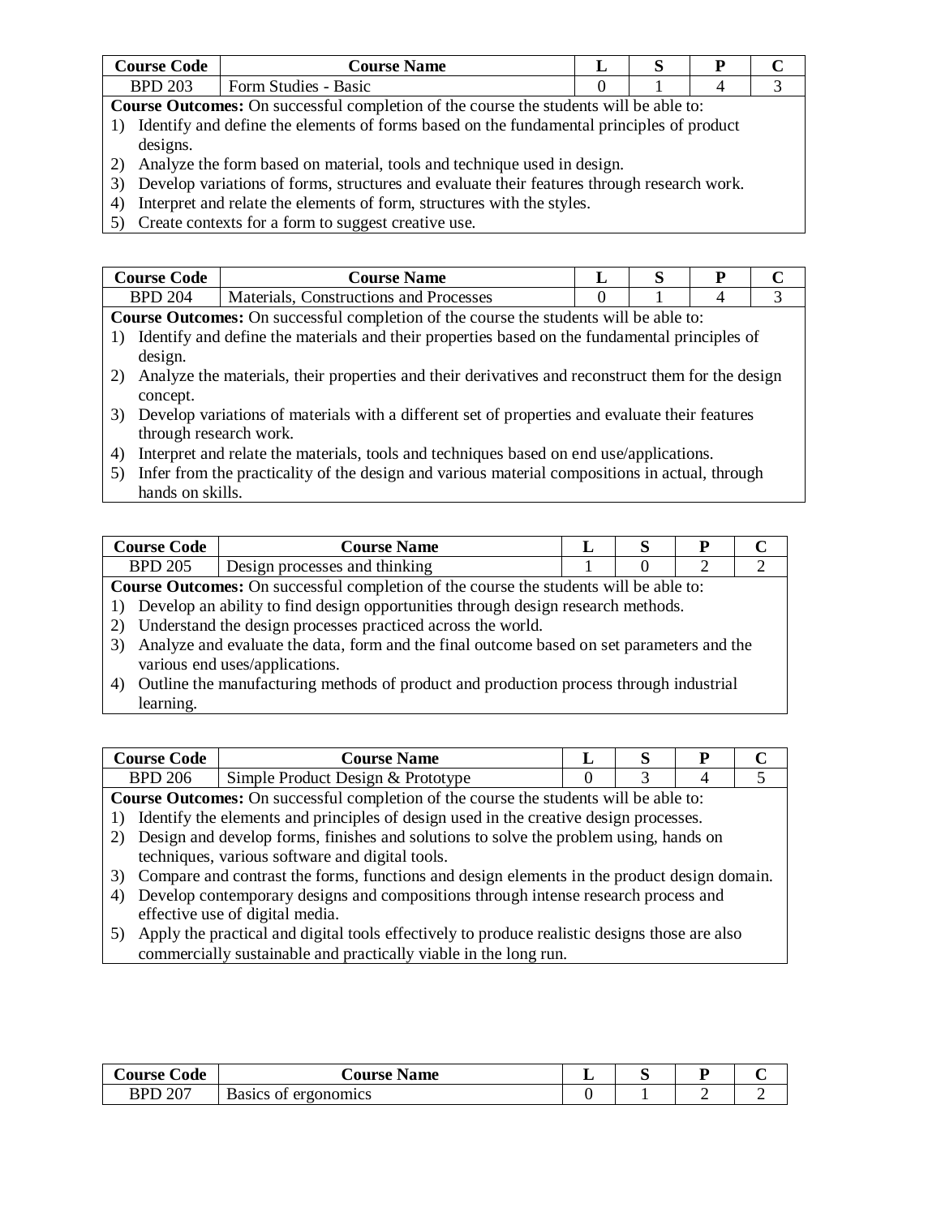| ∠ode<br>course (          | <b>Name</b><br><b>Course</b>     |  |  |
|---------------------------|----------------------------------|--|--|
| 203<br><b>DDN</b><br>ש וט | - Basic<br><b>Form Studies -</b> |  |  |

- 1) Identify and define the elements of forms based on the fundamental principles of product designs.
- 2) Analyze the form based on material, tools and technique used in design.
- 3) Develop variations of forms, structures and evaluate their features through research work.
- 4) Interpret and relate the elements of form, structures with the styles.
- 5) Create contexts for a form to suggest creative use.

| Course C<br>.`ode                                                                                                                                                                                                                                                                                                              | <b>Course Name</b>                       |  |  | ח |  |
|--------------------------------------------------------------------------------------------------------------------------------------------------------------------------------------------------------------------------------------------------------------------------------------------------------------------------------|------------------------------------------|--|--|---|--|
| 204<br>DDD                                                                                                                                                                                                                                                                                                                     | Tonstructions and Processes<br>Materials |  |  |   |  |
| $1111$ 11<br>$\mathcal{C}$ and $\mathcal{C}$ and $\mathcal{C}$ and $\mathcal{C}$ and $\mathcal{C}$ and $\mathcal{C}$ and $\mathcal{C}$ and $\mathcal{C}$ and $\mathcal{C}$ and $\mathcal{C}$ and $\mathcal{C}$ and $\mathcal{C}$ and $\mathcal{C}$ and $\mathcal{C}$ and $\mathcal{C}$ and $\mathcal{C}$ and $\mathcal{C}$ and |                                          |  |  |   |  |

- **Course Outcomes:** On successful completion of the course the students will be able to:
- 1) Identify and define the materials and their properties based on the fundamental principles of design.
- 2) Analyze the materials, their properties and their derivatives and reconstruct them for the design concept.
- 3) Develop variations of materials with a different set of properties and evaluate their features through research work.
- 4) Interpret and relate the materials, tools and techniques based on end use/applications.
- 5) Infer from the practicality of the design and various material compositions in actual, through hands on skills.

| Course C<br>bode | <b>Course Name</b>            |  |  |
|------------------|-------------------------------|--|--|
| BPD 205          | Design processes and thinking |  |  |

**Course Outcomes:** On successful completion of the course the students will be able to:

1) Develop an ability to find design opportunities through design research methods.

2) Understand the design processes practiced across the world.

- 3) Analyze and evaluate the data, form and the final outcome based on set parameters and the various end uses/applications.
- 4) Outline the manufacturing methods of product and production process through industrial learning.

| <b>Course Code</b>      | <b>Course Name</b>                |  |  |
|-------------------------|-----------------------------------|--|--|
| 206<br>BPD <sup>-</sup> | Simple Product Design & Prototype |  |  |
| --                      |                                   |  |  |

**Course Outcomes:** On successful completion of the course the students will be able to:

1) Identify the elements and principles of design used in the creative design processes.

- 2) Design and develop forms, finishes and solutions to solve the problem using, hands on techniques, various software and digital tools.
- 3) Compare and contrast the forms, functions and design elements in the product design domain.
- 4) Develop contemporary designs and compositions through intense research process and effective use of digital media.
- 5) Apply the practical and digital tools effectively to produce realistic designs those are also commercially sustainable and practically viable in the long run.

| Code<br>∪ourse ( | <b>Course Name</b>          |  |  |
|------------------|-----------------------------|--|--|
| <b>BPD 207</b>   | <b>Basics of ergonomics</b> |  |  |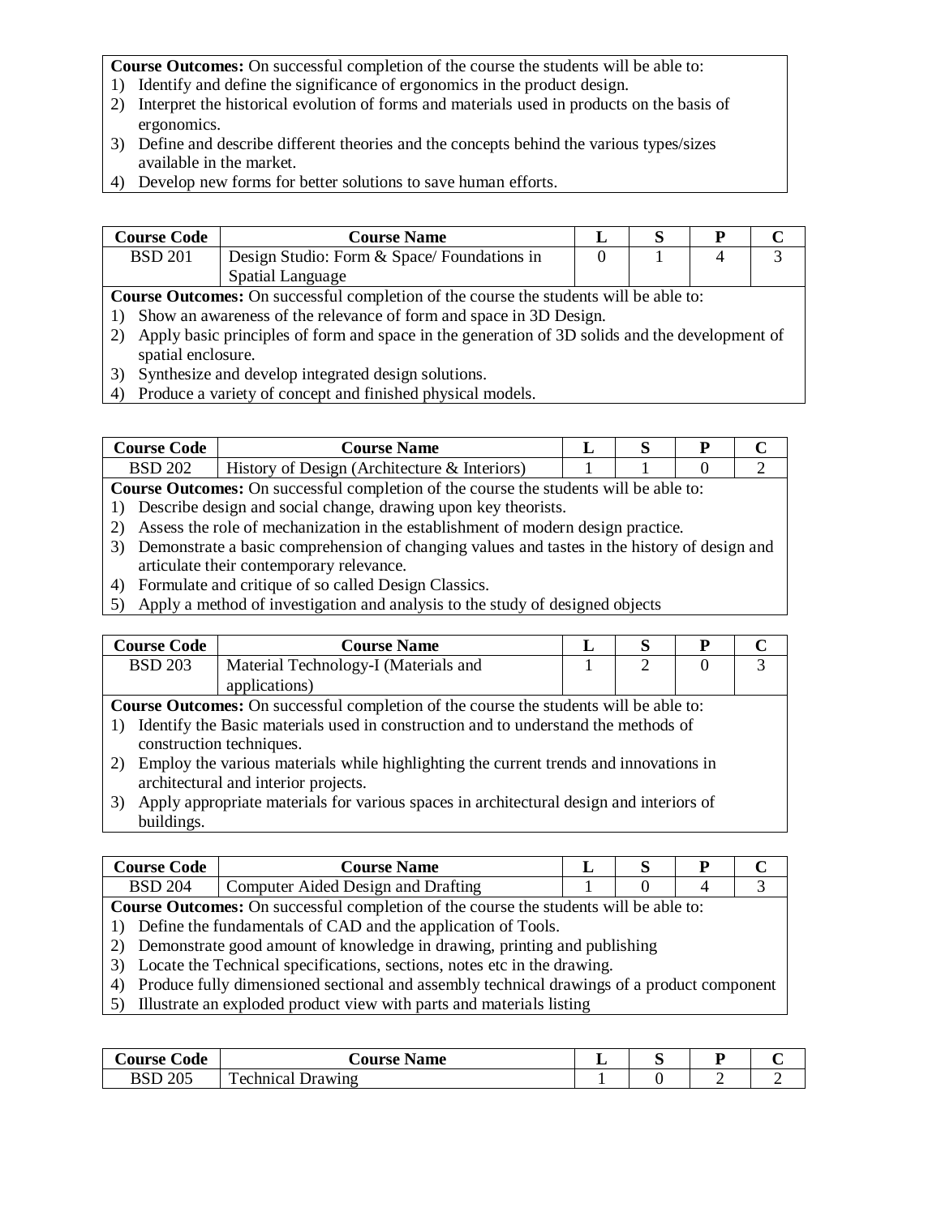- 1) Identify and define the significance of ergonomics in the product design.
- 2) Interpret the historical evolution of forms and materials used in products on the basis of ergonomics.
- 3) Define and describe different theories and the concepts behind the various types/sizes available in the market.
- 4) Develop new forms for better solutions to save human efforts.

| <b>Course Code</b>                                                                           | <b>Course Name</b>                          |  |  |  |  |
|----------------------------------------------------------------------------------------------|---------------------------------------------|--|--|--|--|
| <b>BSD 201</b>                                                                               | Design Studio: Form & Space/ Foundations in |  |  |  |  |
|                                                                                              | Spatial Language                            |  |  |  |  |
| <b>Course Outcomes:</b> On successful completion of the course the students will be able to: |                                             |  |  |  |  |

1) Show an awareness of the relevance of form and space in 3D Design.

- 2) Apply basic principles of form and space in the generation of 3D solids and the development of spatial enclosure.
- 3) Synthesize and develop integrated design solutions.
- 4) Produce a variety of concept and finished physical models.

| Course Code | <b>Course Name</b>                           |  |  |
|-------------|----------------------------------------------|--|--|
| BSD 202     | History of Design (Architecture & Interiors) |  |  |

**Course Outcomes:** On successful completion of the course the students will be able to:

- 1) Describe design and social change, drawing upon key theorists.
- 2) Assess the role of mechanization in the establishment of modern design practice.
- 3) Demonstrate a basic comprehension of changing values and tastes in the history of design and articulate their contemporary relevance.
- 4) Formulate and critique of so called Design Classics.
- 5) Apply a method of investigation and analysis to the study of designed objects

| <b>Course Code</b>                                                                           | <b>Course Name</b>                                                                      |  | S | P        |               |  |
|----------------------------------------------------------------------------------------------|-----------------------------------------------------------------------------------------|--|---|----------|---------------|--|
| <b>BSD 203</b>                                                                               | Material Technology-I (Materials and                                                    |  | 2 | $\theta$ | $\mathcal{R}$ |  |
|                                                                                              | applications)                                                                           |  |   |          |               |  |
| <b>Course Outcomes:</b> On successful completion of the course the students will be able to: |                                                                                         |  |   |          |               |  |
| Identify the Basic materials used in construction and to understand the methods of           |                                                                                         |  |   |          |               |  |
| construction techniques.                                                                     |                                                                                         |  |   |          |               |  |
| Employ the various materials while highlighting the current trends and innovations in        |                                                                                         |  |   |          |               |  |
|                                                                                              | architectural and interior projects.                                                    |  |   |          |               |  |
|                                                                                              | Apply appropriate materials for various spaces in architectural design and interiors of |  |   |          |               |  |

3) Apply appropriate materials for various spaces in architectural design and interiors of buildings.

| <b>Course Code</b>                                                                           | <b>Course Name</b>                                                                            |  |  |  |  |
|----------------------------------------------------------------------------------------------|-----------------------------------------------------------------------------------------------|--|--|--|--|
| <b>BSD 204</b>                                                                               | Computer Aided Design and Drafting                                                            |  |  |  |  |
| <b>Course Outcomes:</b> On successful completion of the course the students will be able to: |                                                                                               |  |  |  |  |
| 1) Define the fundamentals of CAD and the application of Tools.                              |                                                                                               |  |  |  |  |
| 2) Demonstrate good amount of knowledge in drawing, printing and publishing                  |                                                                                               |  |  |  |  |
| 3) Locate the Technical specifications, sections, notes etc in the drawing.                  |                                                                                               |  |  |  |  |
|                                                                                              | 4) Produce fully dimensioned sectional and assembly technical drawings of a product component |  |  |  |  |

5) Illustrate an exploded product view with parts and materials listing

| ∠ode<br><b>Course</b> € | <b>Course Name</b>                  | ຼ |  |
|-------------------------|-------------------------------------|---|--|
| 205<br>BSD              | $\mathbf{r}$<br>echnical<br>Drawing |   |  |